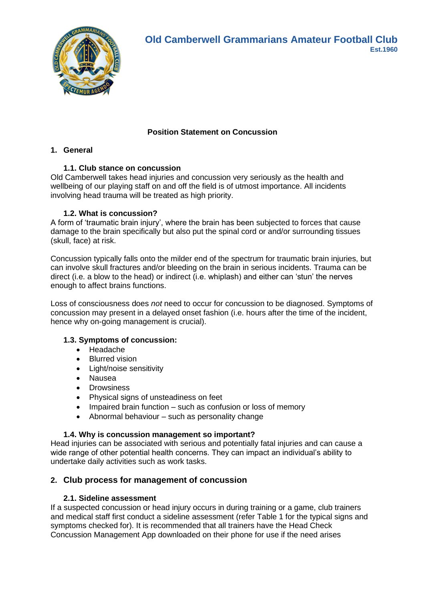

# **Position Statement on Concussion**

# **1. General**

### **1.1. Club stance on concussion**

Old Camberwell takes head injuries and concussion very seriously as the health and wellbeing of our playing staff on and off the field is of utmost importance. All incidents involving head trauma will be treated as high priority.

### **1.2. What is concussion?**

A form of 'traumatic brain injury', where the brain has been subjected to forces that cause damage to the brain specifically but also put the spinal cord or and/or surrounding tissues (skull, face) at risk.

Concussion typically falls onto the milder end of the spectrum for traumatic brain injuries, but can involve skull fractures and/or bleeding on the brain in serious incidents. Trauma can be direct (i.e. a blow to the head) or indirect (i.e. whiplash) and either can 'stun' the nerves enough to affect brains functions.

Loss of consciousness does *not* need to occur for concussion to be diagnosed. Symptoms of concussion may present in a delayed onset fashion (i.e. hours after the time of the incident, hence why on-going management is crucial).

### **1.3. Symptoms of concussion:**

- Headache
- Blurred vision
- Light/noise sensitivity
- Nausea
- Drowsiness
- Physical signs of unsteadiness on feet
- Impaired brain function such as confusion or loss of memory
- Abnormal behaviour such as personality change

### **1.4. Why is concussion management so important?**

Head injuries can be associated with serious and potentially fatal injuries and can cause a wide range of other potential health concerns. They can impact an individual's ability to undertake daily activities such as work tasks.

### **2. Club process for management of concussion**

#### **2.1. Sideline assessment**

If a suspected concussion or head injury occurs in during training or a game, club trainers and medical staff first conduct a sideline assessment (refer Table 1 for the typical signs and symptoms checked for). It is recommended that all trainers have the Head Check Concussion Management App downloaded on their phone for use if the need arises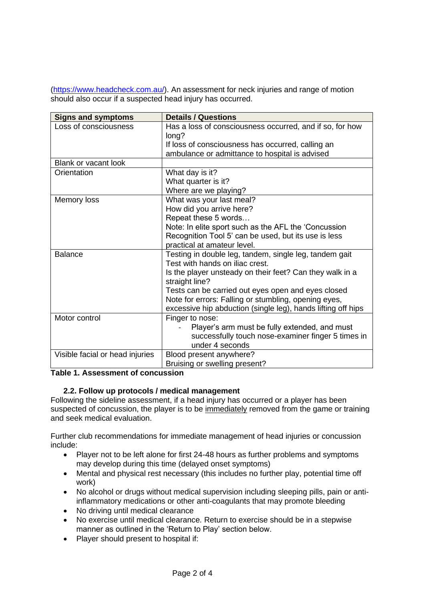[\(https://www.headcheck.com.au/\)](https://www.headcheck.com.au/). An assessment for neck injuries and range of motion should also occur if a suspected head injury has occurred.

| <b>Signs and symptoms</b>       | <b>Details / Questions</b>                                   |  |
|---------------------------------|--------------------------------------------------------------|--|
| Loss of consciousness           | Has a loss of consciousness occurred, and if so, for how     |  |
|                                 | long?                                                        |  |
|                                 | If loss of consciousness has occurred, calling an            |  |
|                                 | ambulance or admittance to hospital is advised               |  |
| Blank or vacant look            |                                                              |  |
| Orientation                     | What day is it?                                              |  |
|                                 | What quarter is it?                                          |  |
|                                 | Where are we playing?                                        |  |
| Memory loss                     | What was your last meal?                                     |  |
|                                 | How did you arrive here?                                     |  |
|                                 | Repeat these 5 words                                         |  |
|                                 | Note: In elite sport such as the AFL the 'Concussion         |  |
|                                 | Recognition Tool 5' can be used, but its use is less         |  |
|                                 | practical at amateur level.                                  |  |
| <b>Balance</b>                  | Testing in double leg, tandem, single leg, tandem gait       |  |
|                                 | Test with hands on iliac crest.                              |  |
|                                 | Is the player unsteady on their feet? Can they walk in a     |  |
|                                 | straight line?                                               |  |
|                                 | Tests can be carried out eyes open and eyes closed           |  |
|                                 | Note for errors: Falling or stumbling, opening eyes,         |  |
|                                 | excessive hip abduction (single leg), hands lifting off hips |  |
| Motor control                   | Finger to nose:                                              |  |
|                                 | Player's arm must be fully extended, and must                |  |
|                                 | successfully touch nose-examiner finger 5 times in           |  |
|                                 | under 4 seconds                                              |  |
| Visible facial or head injuries | Blood present anywhere?                                      |  |
|                                 | Bruising or swelling present?                                |  |

# **Table 1. Assessment of concussion**

### **2.2. Follow up protocols / medical management**

Following the sideline assessment, if a head injury has occurred or a player has been suspected of concussion, the player is to be immediately removed from the game or training and seek medical evaluation.

Further club recommendations for immediate management of head injuries or concussion include:

- Player not to be left alone for first 24-48 hours as further problems and symptoms may develop during this time (delayed onset symptoms)
- Mental and physical rest necessary (this includes no further play, potential time off work)
- No alcohol or drugs without medical supervision including sleeping pills, pain or antiinflammatory medications or other anti-coagulants that may promote bleeding
- No driving until medical clearance
- No exercise until medical clearance. Return to exercise should be in a stepwise manner as outlined in the 'Return to Play' section below.
- Player should present to hospital if: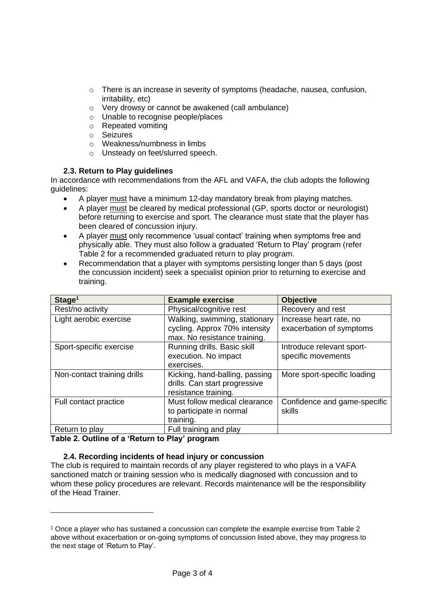- o There is an increase in severity of symptoms (headache, nausea, confusion, irritability, etc)
- o Very drowsy or cannot be awakened (call ambulance)
- o Unable to recognise people/places
- o Repeated vomiting
- o Seizures
- o Weakness/numbness in limbs
- o Unsteady on feet/slurred speech.

# **2.3. Return to Play guidelines**

In accordance with recommendations from the AFL and VAFA, the club adopts the following guidelines:

- A player must have a minimum 12-day mandatory break from playing matches.
- A player must be cleared by medical professional (GP, sports doctor or neurologist) before returning to exercise and sport. The clearance must state that the player has been cleared of concussion injury.
- A player must only recommence 'usual contact' training when symptoms free and physically able. They must also follow a graduated 'Return to Play' program (refer Table 2 for a recommended graduated return to play program.
- Recommendation that a player with symptoms persisting longer than 5 days (post the concussion incident) seek a specialist opinion prior to returning to exercise and training.

| Stage <sup>1</sup>          | <b>Example exercise</b>                                                                        | <b>Objective</b>                                    |
|-----------------------------|------------------------------------------------------------------------------------------------|-----------------------------------------------------|
| Rest/no activity            | Physical/cognitive rest                                                                        | Recovery and rest                                   |
| Light aerobic exercise      | Walking, swimming, stationary<br>cycling. Approx 70% intensity<br>max. No resistance training. | Increase heart rate, no<br>exacerbation of symptoms |
| Sport-specific exercise     | Running drills. Basic skill<br>execution. No impact<br>exercises.                              | Introduce relevant sport-<br>specific movements     |
| Non-contact training drills | Kicking, hand-balling, passing<br>drills. Can start progressive<br>resistance training.        | More sport-specific loading                         |
| Full contact practice       | Must follow medical clearance<br>to participate in normal<br>training.                         | Confidence and game-specific<br>skills              |
| Return to play              | Full training and play                                                                         |                                                     |

**Table 2. Outline of a 'Return to Play' program**

### **2.4. Recording incidents of head injury or concussion**

The club is required to maintain records of any player registered to who plays in a VAFA sanctioned match or training session who is medically diagnosed with concussion and to whom these policy procedures are relevant. Records maintenance will be the responsibility of the Head Trainer.

<sup>1</sup> Once a player who has sustained a concussion can complete the example exercise from Table 2 above without exacerbation or on-going symptoms of concussion listed above, they may progress to the next stage of 'Return to Play'.